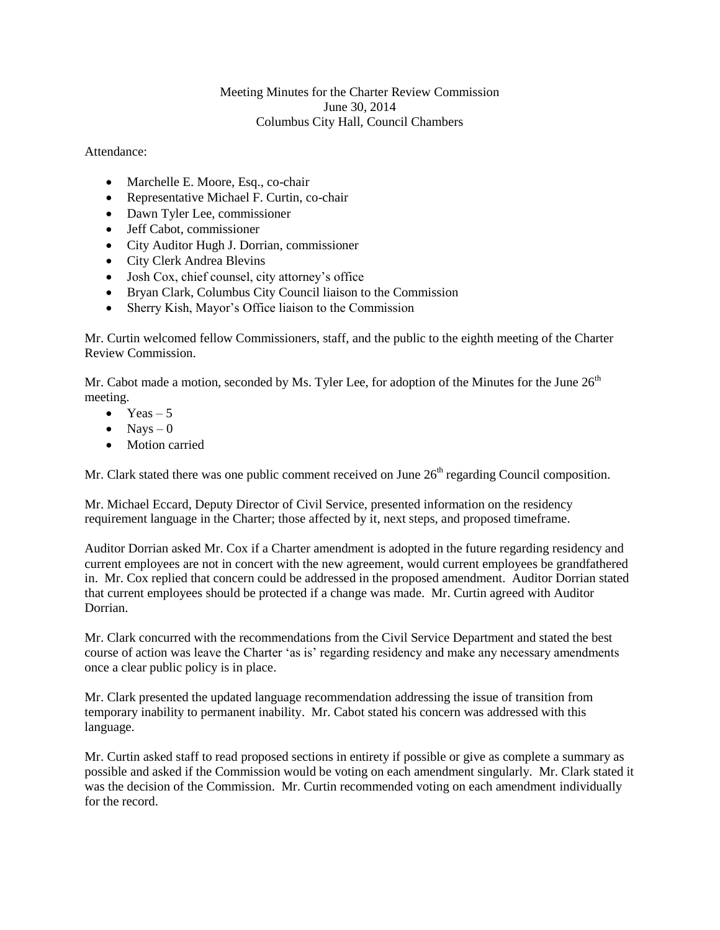## Meeting Minutes for the Charter Review Commission June 30, 2014 Columbus City Hall, Council Chambers

Attendance:

- Marchelle E. Moore, Esq., co-chair
- Representative Michael F. Curtin, co-chair
- Dawn Tyler Lee, commissioner
- Jeff Cabot, commissioner
- City Auditor Hugh J. Dorrian, commissioner
- City Clerk Andrea Blevins
- Josh Cox, chief counsel, city attorney's office
- Bryan Clark, Columbus City Council liaison to the Commission
- Sherry Kish, Mayor's Office liaison to the Commission

Mr. Curtin welcomed fellow Commissioners, staff, and the public to the eighth meeting of the Charter Review Commission.

Mr. Cabot made a motion, seconded by Ms. Tyler Lee, for adoption of the Minutes for the June  $26<sup>th</sup>$ meeting.

- $\bullet$  Yeas 5
- $\bullet$  Nays 0
- Motion carried

Mr. Clark stated there was one public comment received on June  $26<sup>th</sup>$  regarding Council composition.

Mr. Michael Eccard, Deputy Director of Civil Service, presented information on the residency requirement language in the Charter; those affected by it, next steps, and proposed timeframe.

Auditor Dorrian asked Mr. Cox if a Charter amendment is adopted in the future regarding residency and current employees are not in concert with the new agreement, would current employees be grandfathered in. Mr. Cox replied that concern could be addressed in the proposed amendment. Auditor Dorrian stated that current employees should be protected if a change was made. Mr. Curtin agreed with Auditor Dorrian.

Mr. Clark concurred with the recommendations from the Civil Service Department and stated the best course of action was leave the Charter 'as is' regarding residency and make any necessary amendments once a clear public policy is in place.

Mr. Clark presented the updated language recommendation addressing the issue of transition from temporary inability to permanent inability. Mr. Cabot stated his concern was addressed with this language.

Mr. Curtin asked staff to read proposed sections in entirety if possible or give as complete a summary as possible and asked if the Commission would be voting on each amendment singularly. Mr. Clark stated it was the decision of the Commission. Mr. Curtin recommended voting on each amendment individually for the record.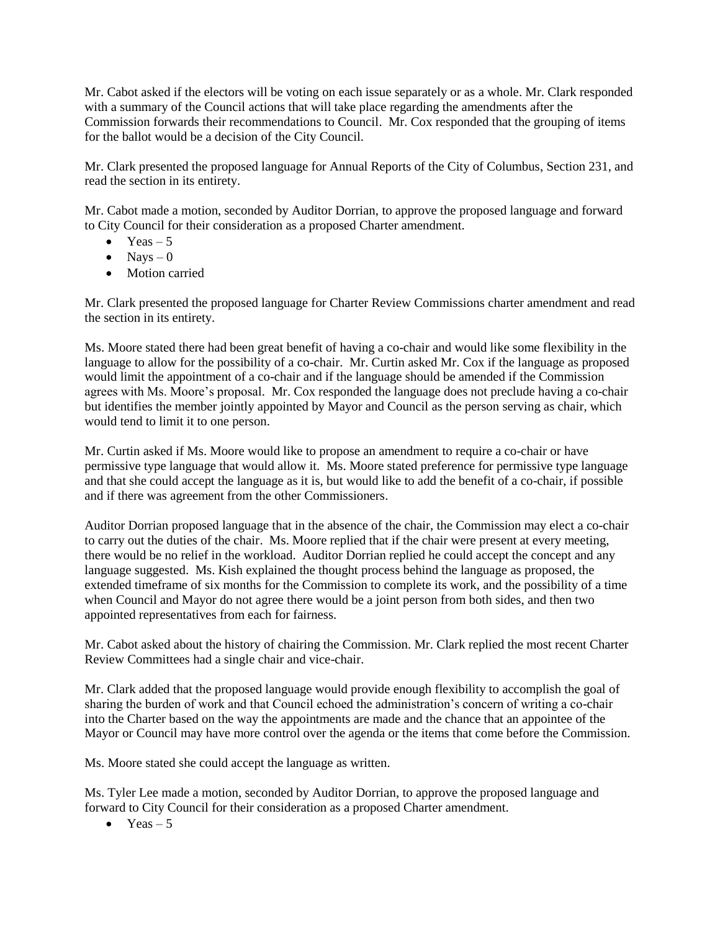Mr. Cabot asked if the electors will be voting on each issue separately or as a whole. Mr. Clark responded with a summary of the Council actions that will take place regarding the amendments after the Commission forwards their recommendations to Council. Mr. Cox responded that the grouping of items for the ballot would be a decision of the City Council.

Mr. Clark presented the proposed language for Annual Reports of the City of Columbus, Section 231, and read the section in its entirety.

Mr. Cabot made a motion, seconded by Auditor Dorrian, to approve the proposed language and forward to City Council for their consideration as a proposed Charter amendment.

- Yeas  $-5$
- $\bullet$  Navs 0
- Motion carried

Mr. Clark presented the proposed language for Charter Review Commissions charter amendment and read the section in its entirety.

Ms. Moore stated there had been great benefit of having a co-chair and would like some flexibility in the language to allow for the possibility of a co-chair. Mr. Curtin asked Mr. Cox if the language as proposed would limit the appointment of a co-chair and if the language should be amended if the Commission agrees with Ms. Moore's proposal. Mr. Cox responded the language does not preclude having a co-chair but identifies the member jointly appointed by Mayor and Council as the person serving as chair, which would tend to limit it to one person.

Mr. Curtin asked if Ms. Moore would like to propose an amendment to require a co-chair or have permissive type language that would allow it. Ms. Moore stated preference for permissive type language and that she could accept the language as it is, but would like to add the benefit of a co-chair, if possible and if there was agreement from the other Commissioners.

Auditor Dorrian proposed language that in the absence of the chair, the Commission may elect a co-chair to carry out the duties of the chair. Ms. Moore replied that if the chair were present at every meeting, there would be no relief in the workload. Auditor Dorrian replied he could accept the concept and any language suggested. Ms. Kish explained the thought process behind the language as proposed, the extended timeframe of six months for the Commission to complete its work, and the possibility of a time when Council and Mayor do not agree there would be a joint person from both sides, and then two appointed representatives from each for fairness.

Mr. Cabot asked about the history of chairing the Commission. Mr. Clark replied the most recent Charter Review Committees had a single chair and vice-chair.

Mr. Clark added that the proposed language would provide enough flexibility to accomplish the goal of sharing the burden of work and that Council echoed the administration's concern of writing a co-chair into the Charter based on the way the appointments are made and the chance that an appointee of the Mayor or Council may have more control over the agenda or the items that come before the Commission.

Ms. Moore stated she could accept the language as written.

Ms. Tyler Lee made a motion, seconded by Auditor Dorrian, to approve the proposed language and forward to City Council for their consideration as a proposed Charter amendment.

 $\bullet$  Yeas – 5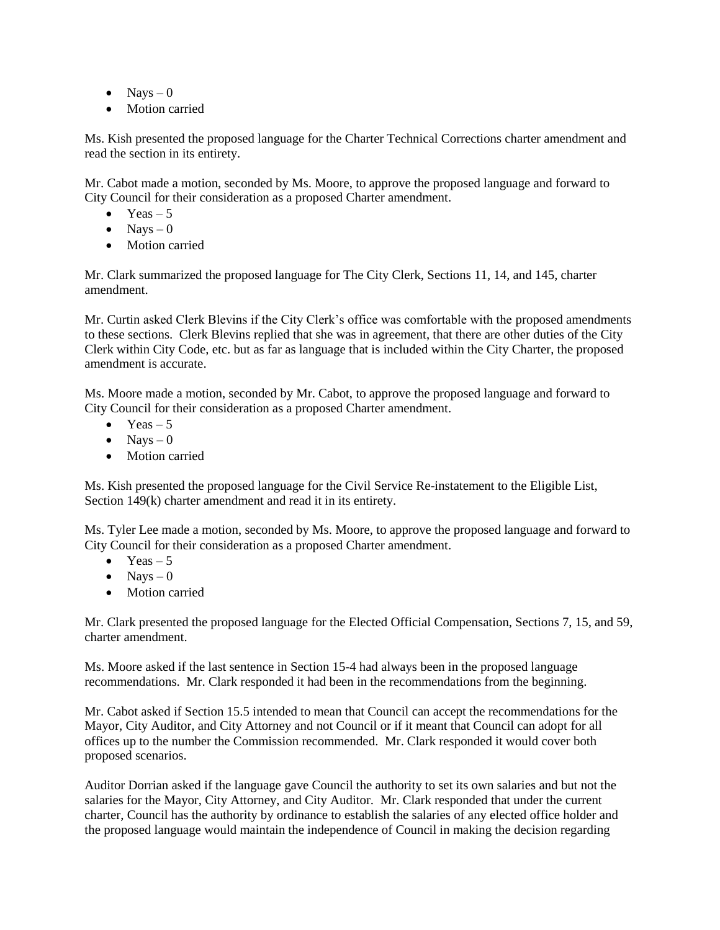- $\bullet$  Navs 0
- Motion carried

Ms. Kish presented the proposed language for the Charter Technical Corrections charter amendment and read the section in its entirety.

Mr. Cabot made a motion, seconded by Ms. Moore, to approve the proposed language and forward to City Council for their consideration as a proposed Charter amendment.

- $\bullet$  Yeas 5
- $\bullet$  Navs 0
- Motion carried

Mr. Clark summarized the proposed language for The City Clerk, Sections 11, 14, and 145, charter amendment.

Mr. Curtin asked Clerk Blevins if the City Clerk's office was comfortable with the proposed amendments to these sections. Clerk Blevins replied that she was in agreement, that there are other duties of the City Clerk within City Code, etc. but as far as language that is included within the City Charter, the proposed amendment is accurate.

Ms. Moore made a motion, seconded by Mr. Cabot, to approve the proposed language and forward to City Council for their consideration as a proposed Charter amendment.

- Yeas  $-5$
- $\bullet$  Nays 0
- Motion carried

Ms. Kish presented the proposed language for the Civil Service Re-instatement to the Eligible List, Section 149(k) charter amendment and read it in its entirety.

Ms. Tyler Lee made a motion, seconded by Ms. Moore, to approve the proposed language and forward to City Council for their consideration as a proposed Charter amendment.

- $\bullet$  Yeas 5
- $\bullet$  Nays 0
- Motion carried

Mr. Clark presented the proposed language for the Elected Official Compensation, Sections 7, 15, and 59, charter amendment.

Ms. Moore asked if the last sentence in Section 15-4 had always been in the proposed language recommendations. Mr. Clark responded it had been in the recommendations from the beginning.

Mr. Cabot asked if Section 15.5 intended to mean that Council can accept the recommendations for the Mayor, City Auditor, and City Attorney and not Council or if it meant that Council can adopt for all offices up to the number the Commission recommended. Mr. Clark responded it would cover both proposed scenarios.

Auditor Dorrian asked if the language gave Council the authority to set its own salaries and but not the salaries for the Mayor, City Attorney, and City Auditor. Mr. Clark responded that under the current charter, Council has the authority by ordinance to establish the salaries of any elected office holder and the proposed language would maintain the independence of Council in making the decision regarding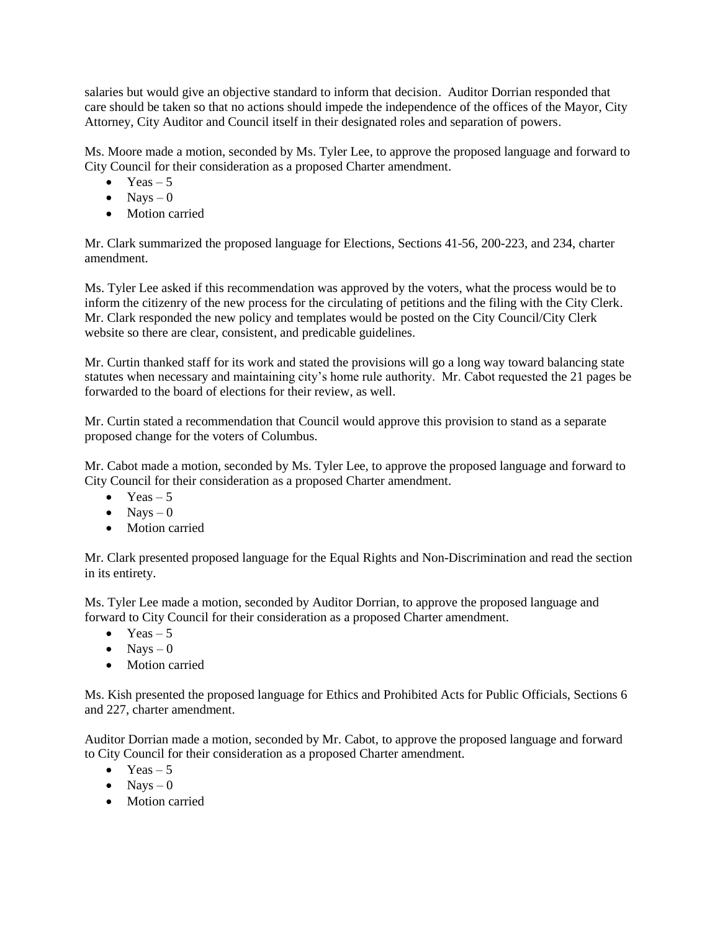salaries but would give an objective standard to inform that decision. Auditor Dorrian responded that care should be taken so that no actions should impede the independence of the offices of the Mayor, City Attorney, City Auditor and Council itself in their designated roles and separation of powers.

Ms. Moore made a motion, seconded by Ms. Tyler Lee, to approve the proposed language and forward to City Council for their consideration as a proposed Charter amendment.

- $\bullet$  Yeas 5
- $\bullet$  Nays 0
- Motion carried

Mr. Clark summarized the proposed language for Elections, Sections 41-56, 200-223, and 234, charter amendment.

Ms. Tyler Lee asked if this recommendation was approved by the voters, what the process would be to inform the citizenry of the new process for the circulating of petitions and the filing with the City Clerk. Mr. Clark responded the new policy and templates would be posted on the City Council/City Clerk website so there are clear, consistent, and predicable guidelines.

Mr. Curtin thanked staff for its work and stated the provisions will go a long way toward balancing state statutes when necessary and maintaining city's home rule authority. Mr. Cabot requested the 21 pages be forwarded to the board of elections for their review, as well.

Mr. Curtin stated a recommendation that Council would approve this provision to stand as a separate proposed change for the voters of Columbus.

Mr. Cabot made a motion, seconded by Ms. Tyler Lee, to approve the proposed language and forward to City Council for their consideration as a proposed Charter amendment.

- $\bullet$  Yeas 5
- $\bullet$  Navs 0
- Motion carried

Mr. Clark presented proposed language for the Equal Rights and Non-Discrimination and read the section in its entirety.

Ms. Tyler Lee made a motion, seconded by Auditor Dorrian, to approve the proposed language and forward to City Council for their consideration as a proposed Charter amendment.

- $\bullet$  Yeas 5
- $\bullet$  Nays 0
- Motion carried

Ms. Kish presented the proposed language for Ethics and Prohibited Acts for Public Officials, Sections 6 and 227, charter amendment.

Auditor Dorrian made a motion, seconded by Mr. Cabot, to approve the proposed language and forward to City Council for their consideration as a proposed Charter amendment.

- Yeas  $-5$
- $\bullet$  Nays 0
- Motion carried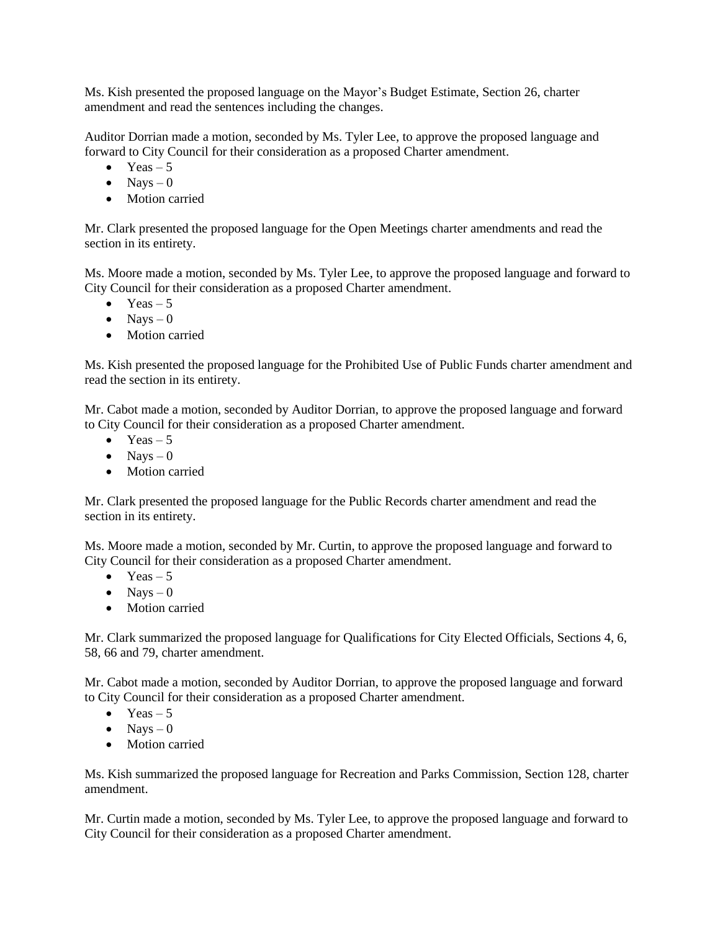Ms. Kish presented the proposed language on the Mayor's Budget Estimate, Section 26, charter amendment and read the sentences including the changes.

Auditor Dorrian made a motion, seconded by Ms. Tyler Lee, to approve the proposed language and forward to City Council for their consideration as a proposed Charter amendment.

- $\bullet$  Yeas 5
- $\bullet$  Nays 0
- Motion carried

Mr. Clark presented the proposed language for the Open Meetings charter amendments and read the section in its entirety.

Ms. Moore made a motion, seconded by Ms. Tyler Lee, to approve the proposed language and forward to City Council for their consideration as a proposed Charter amendment.

- $\bullet$  Yeas 5
- $\bullet$  Navs 0
- Motion carried

Ms. Kish presented the proposed language for the Prohibited Use of Public Funds charter amendment and read the section in its entirety.

Mr. Cabot made a motion, seconded by Auditor Dorrian, to approve the proposed language and forward to City Council for their consideration as a proposed Charter amendment.

- $\bullet$  Yeas 5
- $\bullet$  Navs 0
- Motion carried

Mr. Clark presented the proposed language for the Public Records charter amendment and read the section in its entirety.

Ms. Moore made a motion, seconded by Mr. Curtin, to approve the proposed language and forward to City Council for their consideration as a proposed Charter amendment.

- $\bullet$  Yeas 5
- $\bullet$  Navs 0
- Motion carried

Mr. Clark summarized the proposed language for Qualifications for City Elected Officials, Sections 4, 6, 58, 66 and 79, charter amendment.

Mr. Cabot made a motion, seconded by Auditor Dorrian, to approve the proposed language and forward to City Council for their consideration as a proposed Charter amendment.

- $\bullet$  Yeas 5
- $\bullet$  Navs 0
- Motion carried

Ms. Kish summarized the proposed language for Recreation and Parks Commission, Section 128, charter amendment.

Mr. Curtin made a motion, seconded by Ms. Tyler Lee, to approve the proposed language and forward to City Council for their consideration as a proposed Charter amendment.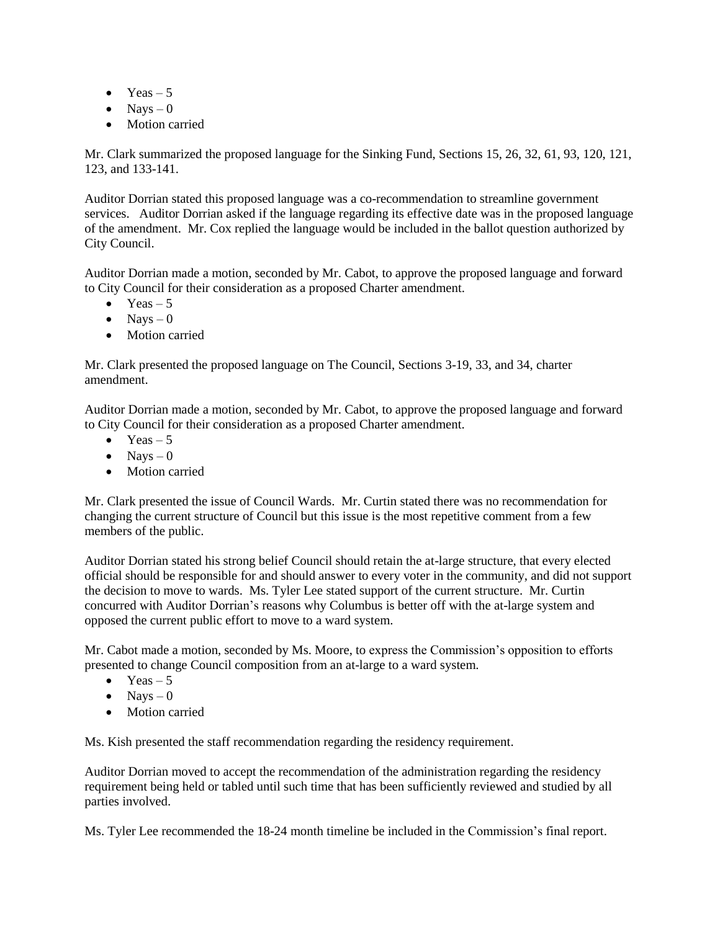- $\bullet$  Yeas 5
- $\bullet$  Nays 0
- Motion carried

Mr. Clark summarized the proposed language for the Sinking Fund, Sections 15, 26, 32, 61, 93, 120, 121, 123, and 133-141.

Auditor Dorrian stated this proposed language was a co-recommendation to streamline government services. Auditor Dorrian asked if the language regarding its effective date was in the proposed language of the amendment. Mr. Cox replied the language would be included in the ballot question authorized by City Council.

Auditor Dorrian made a motion, seconded by Mr. Cabot, to approve the proposed language and forward to City Council for their consideration as a proposed Charter amendment.

- $\bullet$  Yeas 5
- $\bullet$  Navs 0
- Motion carried

Mr. Clark presented the proposed language on The Council, Sections 3-19, 33, and 34, charter amendment.

Auditor Dorrian made a motion, seconded by Mr. Cabot, to approve the proposed language and forward to City Council for their consideration as a proposed Charter amendment.

- $\bullet$  Yeas 5
- $\bullet$  Navs 0
- Motion carried

Mr. Clark presented the issue of Council Wards. Mr. Curtin stated there was no recommendation for changing the current structure of Council but this issue is the most repetitive comment from a few members of the public.

Auditor Dorrian stated his strong belief Council should retain the at-large structure, that every elected official should be responsible for and should answer to every voter in the community, and did not support the decision to move to wards. Ms. Tyler Lee stated support of the current structure. Mr. Curtin concurred with Auditor Dorrian's reasons why Columbus is better off with the at-large system and opposed the current public effort to move to a ward system.

Mr. Cabot made a motion, seconded by Ms. Moore, to express the Commission's opposition to efforts presented to change Council composition from an at-large to a ward system.

- $\bullet$  Yeas 5
- $\bullet$  Nays 0
- Motion carried

Ms. Kish presented the staff recommendation regarding the residency requirement.

Auditor Dorrian moved to accept the recommendation of the administration regarding the residency requirement being held or tabled until such time that has been sufficiently reviewed and studied by all parties involved.

Ms. Tyler Lee recommended the 18-24 month timeline be included in the Commission's final report.